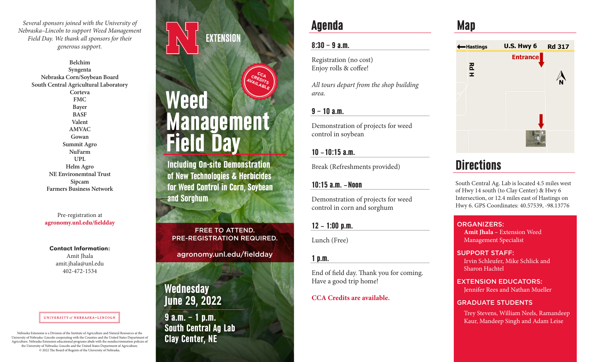*Several sponsors joined with the University of Nebraska–Lincoln to support Weed Management Field Day. We thank all sponsors for their generous support.*

> **Belchim Syngenta Nebraska Corn/Soybean Board South Central Agricultural Laboratory Corteva FMC Bayer BASF Valent AMVAC Gowan Summit Agro NuFarm UPL Helm Agro NE Environemtnal Trust Sipcam Farmers Business Network**

> > Pre-registration at **agronomy.unl.edu/fieldday**

Contact Information:

Amit Jhala amit.jhala@unl.edu 402-472-1534

#### UNIVERSITY of NEBRASKA-LINCOLN

Nebraska Extension is a Division of the Institute of Agriculture and Natural Resources at the<br>University of Nebraska–Lincoln cooperating with the Counties and the United States Department of<br>Agriculture. Nebraska Extension Agriculture. Nebraska Extension educational programs abide with the nondiscrimination policies of the University of Nebraska–Lincoln and the United States Department of Agriculture. © 2022 The Board of Regents of the University of Nebraska.

# **EXTENSION**



Including On-site Demonstration of New Technologies & Herbicides for Weed Control in Corn, Soybean and Sorghum

FREE TO ATTEND. PRE-REGISTRATION REQUIRED.

agronomy.unl.edu/fieldday

**Wednesday** June 29, 2022

9 a.m. – 1 p.m. South Central Ag Lab

## Agenda

### $8:30 - 9$  a.m.

Registration (no cost) Enjoy rolls & coffee!

*All tours depart from the shop building area.*

### $9 - 10$  a.m.

Demonstration of projects for weed control in soybean

### 10 – 10:15 a.m.

Break (Refreshments provided)

### 10:15 a.m. – Noon

Demonstration of projects for weed control in corn and sorghum

 $12 - 1:00$  p.m.

Lunch (Free)

### 1 p.m.

End of field day. Thank you for coming. Have a good trip home!

### **CCA Credits are available.**

# Map



# **Directions**

South Central Ag. Lab is located 4.5 miles west of Hwy 14 south (to Clay Center) & Hwy 6 Intersection, or 12.4 miles east of Hastings on Hwy 6. GPS Coordinates: 40.57539, -98.13776

### ORGANIZERS:

**Amit Jhala –** Extension Weed Management Specialist

#### SUPPORT STAFF:

Irvin Schleufer, Mike Schlick and Sharon Hachtel

### EXTENSION EDUCATORS:

Jennifer Rees and Nathan Mueller

### GRADUATE STUDENTS

Trey Stevens, William Neels, Ramandeep Kaur, Mandeep Singh and Adam Leise